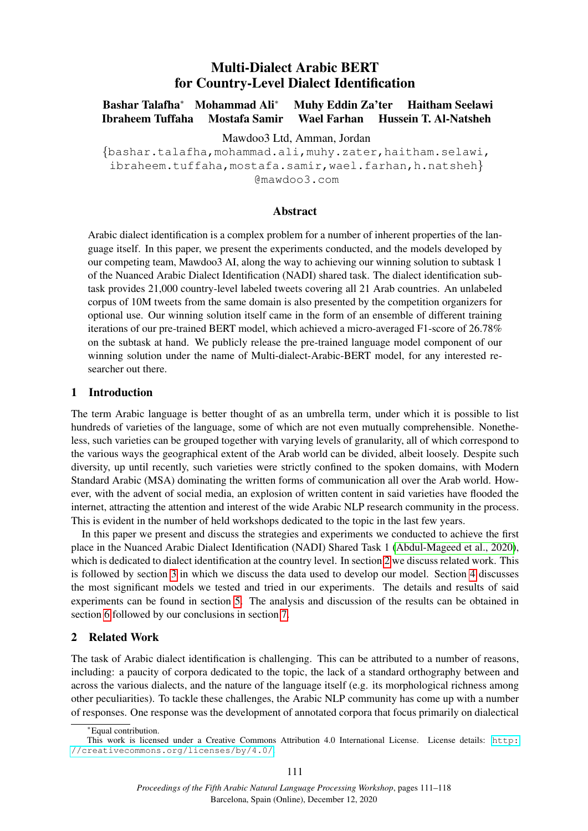# Multi-Dialect Arabic BERT for Country-Level Dialect Identification

Bashar Talafha<sup>∗</sup> Mohammad Ali<sup>∗</sup> Muhy Eddin Za'ter Haitham Seelawi Ibraheem Tuffaha Mostafa Samir Wael Farhan Hussein T. Al-Natsheh

Mawdoo3 Ltd, Amman, Jordan

{bashar.talafha,mohammad.ali,muhy.zater,haitham.selawi, ibraheem.tuffaha,mostafa.samir,wael.farhan,h.natsheh} @mawdoo3.com

## Abstract

Arabic dialect identification is a complex problem for a number of inherent properties of the language itself. In this paper, we present the experiments conducted, and the models developed by our competing team, Mawdoo3 AI, along the way to achieving our winning solution to subtask 1 of the Nuanced Arabic Dialect Identification (NADI) shared task. The dialect identification subtask provides 21,000 country-level labeled tweets covering all 21 Arab countries. An unlabeled corpus of 10M tweets from the same domain is also presented by the competition organizers for optional use. Our winning solution itself came in the form of an ensemble of different training iterations of our pre-trained BERT model, which achieved a micro-averaged F1-score of 26.78% on the subtask at hand. We publicly release the pre-trained language model component of our winning solution under the name of Multi-dialect-Arabic-BERT model, for any interested researcher out there.

#### 1 Introduction

The term Arabic language is better thought of as an umbrella term, under which it is possible to list hundreds of varieties of the language, some of which are not even mutually comprehensible. Nonetheless, such varieties can be grouped together with varying levels of granularity, all of which correspond to the various ways the geographical extent of the Arab world can be divided, albeit loosely. Despite such diversity, up until recently, such varieties were strictly confined to the spoken domains, with Modern Standard Arabic (MSA) dominating the written forms of communication all over the Arab world. However, with the advent of social media, an explosion of written content in said varieties have flooded the internet, attracting the attention and interest of the wide Arabic NLP research community in the process. This is evident in the number of held workshops dedicated to the topic in the last few years.

In this paper we present and discuss the strategies and experiments we conducted to achieve the first place in the Nuanced Arabic Dialect Identification (NADI) Shared Task 1 [\(Abdul-Mageed et al., 2020\)](#page-5-0), which is dedicated to dialect identification at the country level. In section [2](#page-0-0) we discuss related work. This is followed by section [3](#page-1-0) in which we discuss the data used to develop our model. Section [4](#page-2-0) discusses the most significant models we tested and tried in our experiments. The details and results of said experiments can be found in section [5.](#page-3-0) The analysis and discussion of the results can be obtained in section [6](#page-4-0) followed by our conclusions in section [7.](#page-5-1)

# <span id="page-0-0"></span>2 Related Work

The task of Arabic dialect identification is challenging. This can be attributed to a number of reasons, including: a paucity of corpora dedicated to the topic, the lack of a standard orthography between and across the various dialects, and the nature of the language itself (e.g. its morphological richness among other peculiarities). To tackle these challenges, the Arabic NLP community has come up with a number of responses. One response was the development of annotated corpora that focus primarily on dialectical

<sup>∗</sup>Equal contribution.

This work is licensed under a Creative Commons Attribution 4.0 International License. License details: [http:](http://creativecommons.org/licenses/by/4.0/) [//creativecommons.org/licenses/by/4.0/](http://creativecommons.org/licenses/by/4.0/).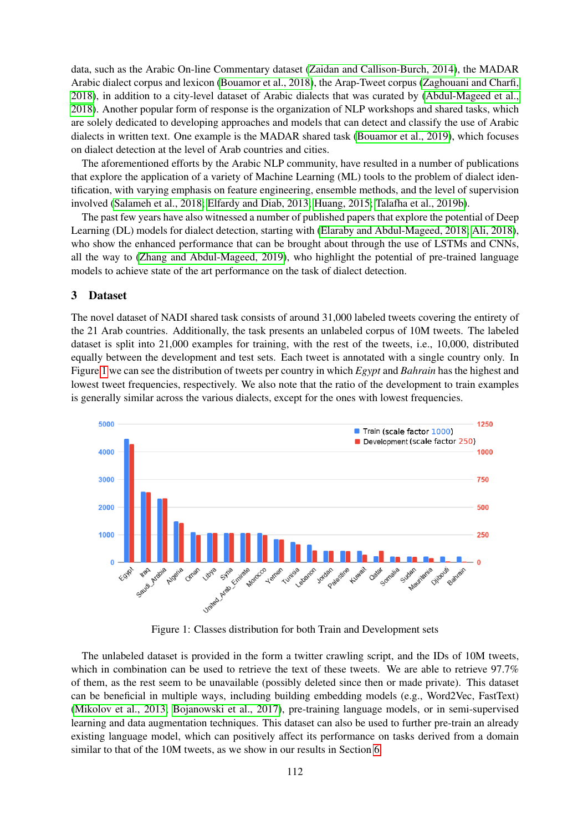data, such as the Arabic On-line Commentary dataset [\(Zaidan and Callison-Burch, 2014\)](#page-7-0), the MADAR Arabic dialect corpus and lexicon [\(Bouamor et al., 2018\)](#page-6-0), the Arap-Tweet corpus [\(Zaghouani and Charfi,](#page-7-1) [2018\)](#page-7-1), in addition to a city-level dataset of Arabic dialects that was curated by [\(Abdul-Mageed et al.,](#page-5-2) [2018\)](#page-5-2). Another popular form of response is the organization of NLP workshops and shared tasks, which are solely dedicated to developing approaches and models that can detect and classify the use of Arabic dialects in written text. One example is the MADAR shared task [\(Bouamor et al., 2019\)](#page-6-1), which focuses on dialect detection at the level of Arab countries and cities.

The aforementioned efforts by the Arabic NLP community, have resulted in a number of publications that explore the application of a variety of Machine Learning (ML) tools to the problem of dialect identification, with varying emphasis on feature engineering, ensemble methods, and the level of supervision involved [\(Salameh et al., 2018;](#page-6-2) [Elfardy and Diab, 2013;](#page-6-3) [Huang, 2015;](#page-6-4) [Talafha et al., 2019b\)](#page-6-5).

The past few years have also witnessed a number of published papers that explore the potential of Deep Learning (DL) models for dialect detection, starting with [\(Elaraby and Abdul-Mageed, 2018;](#page-6-6) [Ali, 2018\)](#page-5-3), who show the enhanced performance that can be brought about through the use of LSTMs and CNNs, all the way to [\(Zhang and Abdul-Mageed, 2019\)](#page-7-2), who highlight the potential of pre-trained language models to achieve state of the art performance on the task of dialect detection.

#### <span id="page-1-0"></span>3 Dataset

The novel dataset of NADI shared task consists of around 31,000 labeled tweets covering the entirety of the 21 Arab countries. Additionally, the task presents an unlabeled corpus of 10M tweets. The labeled dataset is split into 21,000 examples for training, with the rest of the tweets, i.e., 10,000, distributed equally between the development and test sets. Each tweet is annotated with a single country only. In Figure [1](#page-1-1) we can see the distribution of tweets per country in which *Egypt* and *Bahrain* has the highest and lowest tweet frequencies, respectively. We also note that the ratio of the development to train examples is generally similar across the various dialects, except for the ones with lowest frequencies.



<span id="page-1-1"></span>Figure 1: Classes distribution for both Train and Development sets

The unlabeled dataset is provided in the form a twitter crawling script, and the IDs of 10M tweets, which in combination can be used to retrieve the text of these tweets. We are able to retrieve 97.7% of them, as the rest seem to be unavailable (possibly deleted since then or made private). This dataset can be beneficial in multiple ways, including building embedding models (e.g., Word2Vec, FastText) [\(Mikolov et al., 2013;](#page-6-7) [Bojanowski et al., 2017\)](#page-6-8), pre-training language models, or in semi-supervised learning and data augmentation techniques. This dataset can also be used to further pre-train an already existing language model, which can positively affect its performance on tasks derived from a domain similar to that of the 10M tweets, as we show in our results in Section [6.](#page-4-0)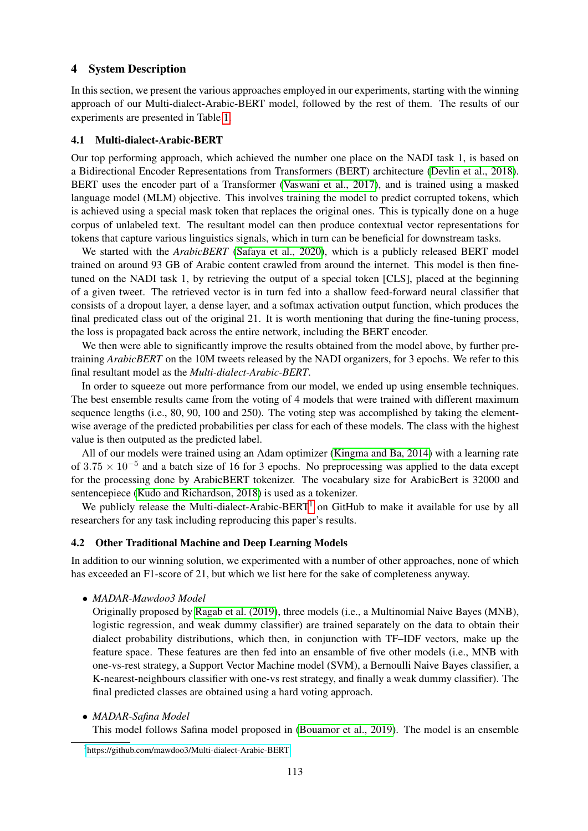## <span id="page-2-0"></span>4 System Description

In this section, we present the various approaches employed in our experiments, starting with the winning approach of our Multi-dialect-Arabic-BERT model, followed by the rest of them. The results of our experiments are presented in Table [1.](#page-3-1)

#### 4.1 Multi-dialect-Arabic-BERT

Our top performing approach, which achieved the number one place on the NADI task 1, is based on a Bidirectional Encoder Representations from Transformers (BERT) architecture [\(Devlin et al., 2018\)](#page-6-9). BERT uses the encoder part of a Transformer [\(Vaswani et al., 2017\)](#page-7-3), and is trained using a masked language model (MLM) objective. This involves training the model to predict corrupted tokens, which is achieved using a special mask token that replaces the original ones. This is typically done on a huge corpus of unlabeled text. The resultant model can then produce contextual vector representations for tokens that capture various linguistics signals, which in turn can be beneficial for downstream tasks.

We started with the *ArabicBERT* [\(Safaya et al., 2020\)](#page-6-10), which is a publicly released BERT model trained on around 93 GB of Arabic content crawled from around the internet. This model is then finetuned on the NADI task 1, by retrieving the output of a special token [CLS], placed at the beginning of a given tweet. The retrieved vector is in turn fed into a shallow feed-forward neural classifier that consists of a dropout layer, a dense layer, and a softmax activation output function, which produces the final predicated class out of the original 21. It is worth mentioning that during the fine-tuning process, the loss is propagated back across the entire network, including the BERT encoder.

We then were able to significantly improve the results obtained from the model above, by further pretraining *ArabicBERT* on the 10M tweets released by the NADI organizers, for 3 epochs. We refer to this final resultant model as the *Multi-dialect-Arabic-BERT*.

In order to squeeze out more performance from our model, we ended up using ensemble techniques. The best ensemble results came from the voting of 4 models that were trained with different maximum sequence lengths (i.e., 80, 90, 100 and 250). The voting step was accomplished by taking the elementwise average of the predicted probabilities per class for each of these models. The class with the highest value is then outputed as the predicted label.

All of our models were trained using an Adam optimizer [\(Kingma and Ba, 2014\)](#page-6-11) with a learning rate of  $3.75 \times 10^{-5}$  and a batch size of 16 for 3 epochs. No preprocessing was applied to the data except for the processing done by ArabicBERT tokenizer. The vocabulary size for ArabicBert is 32000 and sentencepiece [\(Kudo and Richardson, 2018\)](#page-6-12) is used as a tokenizer.

We publicly release the Multi-dialect-Arabic-BERT<sup>[1](#page-2-1)</sup> on GitHub to make it available for use by all researchers for any task including reproducing this paper's results.

#### 4.2 Other Traditional Machine and Deep Learning Models

In addition to our winning solution, we experimented with a number of other approaches, none of which has exceeded an F1-score of 21, but which we list here for the sake of completeness anyway.

• *MADAR-Mawdoo3 Model*

Originally proposed by [Ragab et al. \(2019\)](#page-6-13), three models (i.e., a Multinomial Naive Bayes (MNB), logistic regression, and weak dummy classifier) are trained separately on the data to obtain their dialect probability distributions, which then, in conjunction with TF–IDF vectors, make up the feature space. These features are then fed into an ensamble of five other models (i.e., MNB with one-vs-rest strategy, a Support Vector Machine model (SVM), a Bernoulli Naive Bayes classifier, a K-nearest-neighbours classifier with one-vs rest strategy, and finally a weak dummy classifier). The final predicted classes are obtained using a hard voting approach.

• *MADAR-Safina Model*

This model follows Safina model proposed in [\(Bouamor et al., 2019\)](#page-6-1). The model is an ensemble

<span id="page-2-1"></span><sup>1</sup> <https://github.com/mawdoo3/Multi-dialect-Arabic-BERT>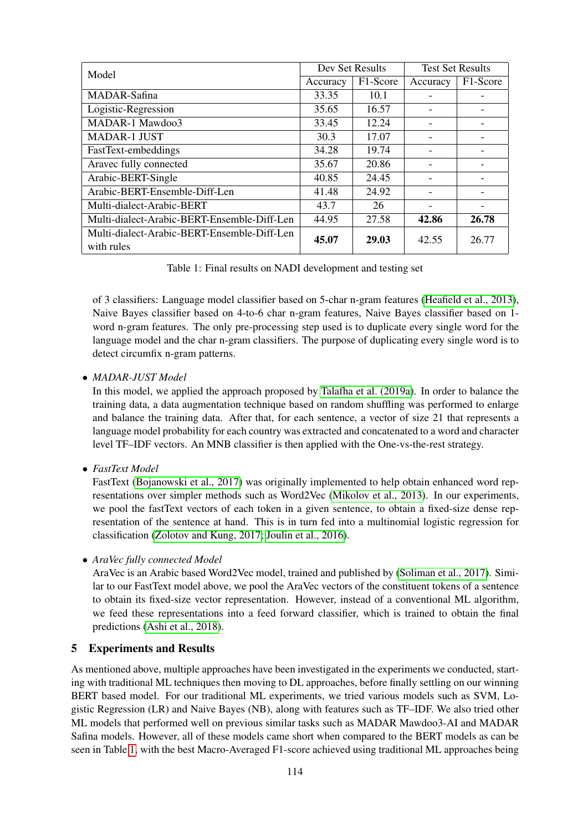| Model                                       | Dev Set Results |          | <b>Test Set Results</b> |          |
|---------------------------------------------|-----------------|----------|-------------------------|----------|
|                                             | Accuracy        | F1-Score | Accuracy                | F1-Score |
| MADAR-Safina                                | 33.35           | 10.1     |                         |          |
| Logistic-Regression                         | 35.65           | 16.57    |                         |          |
| MADAR-1 Mawdoo3                             | 33.45           | 12.24    |                         |          |
| <b>MADAR-1 JUST</b>                         | 30.3            | 17.07    |                         |          |
| FastText-embeddings                         | 34.28           | 19.74    |                         |          |
| Aravec fully connected                      | 35.67           | 20.86    |                         |          |
| Arabic-BERT-Single                          | 40.85           | 24.45    |                         |          |
| Arabic-BERT-Ensemble-Diff-Len               | 41.48           | 24.92    |                         |          |
| Multi-dialect-Arabic-BERT                   | 43.7            | 26       |                         |          |
| Multi-dialect-Arabic-BERT-Ensemble-Diff-Len | 44.95           | 27.58    | 42.86                   | 26.78    |
| Multi-dialect-Arabic-BERT-Ensemble-Diff-Len | 45.07           | 29.03    | 42.55                   | 26.77    |
| with rules                                  |                 |          |                         |          |

<span id="page-3-1"></span>Table 1: Final results on NADI development and testing set

of 3 classifiers: Language model classifier based on 5-char n-gram features [\(Heafield et al., 2013\)](#page-6-14), Naive Bayes classifier based on 4-to-6 char n-gram features, Naive Bayes classifier based on 1 word n-gram features. The only pre-processing step used is to duplicate every single word for the language model and the char n-gram classifiers. The purpose of duplicating every single word is to detect circumfix n-gram patterns.

## • *MADAR-JUST Model*

In this model, we applied the approach proposed by [Talafha et al. \(2019a\)](#page-6-15). In order to balance the training data, a data augmentation technique based on random shuffling was performed to enlarge and balance the training data. After that, for each sentence, a vector of size 21 that represents a language model probability for each country was extracted and concatenated to a word and character level TF–IDF vectors. An MNB classifier is then applied with the One-vs-the-rest strategy.

• *FastText Model*

FastText [\(Bojanowski et al., 2017\)](#page-6-8) was originally implemented to help obtain enhanced word representations over simpler methods such as Word2Vec [\(Mikolov et al., 2013\)](#page-6-7). In our experiments, we pool the fastText vectors of each token in a given sentence, to obtain a fixed-size dense representation of the sentence at hand. This is in turn fed into a multinomial logistic regression for classification [\(Zolotov and Kung, 2017;](#page-7-4) [Joulin et al., 2016\)](#page-6-16).

• *AraVec fully connected Model*

AraVec is an Arabic based Word2Vec model, trained and published by [\(Soliman et al., 2017\)](#page-6-17). Similar to our FastText model above, we pool the AraVec vectors of the constituent tokens of a sentence to obtain its fixed-size vector representation. However, instead of a conventional ML algorithm, we feed these representations into a feed forward classifier, which is trained to obtain the final predictions [\(Ashi et al., 2018\)](#page-5-4).

## <span id="page-3-0"></span>5 Experiments and Results

As mentioned above, multiple approaches have been investigated in the experiments we conducted, starting with traditional ML techniques then moving to DL approaches, before finally settling on our winning BERT based model. For our traditional ML experiments, we tried various models such as SVM, Logistic Regression (LR) and Naive Bayes (NB), along with features such as TF–IDF. We also tried other ML models that performed well on previous similar tasks such as MADAR Mawdoo3-AI and MADAR Safina models. However, all of these models came short when compared to the BERT models as can be seen in Table [1,](#page-3-1) with the best Macro-Averaged F1-score achieved using traditional ML approaches being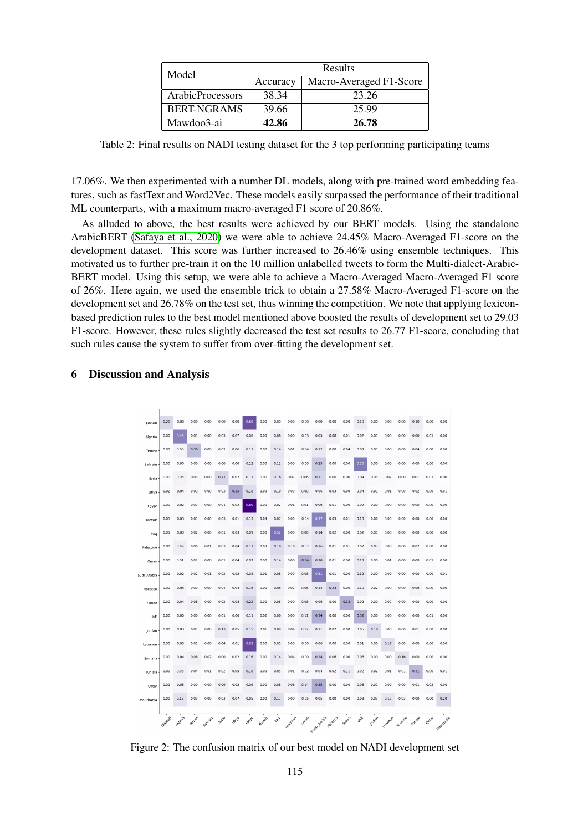| Model              | Results  |                         |  |
|--------------------|----------|-------------------------|--|
|                    | Accuracy | Macro-Averaged F1-Score |  |
| ArabicProcessors   | 38.34    | 23.26                   |  |
| <b>BERT-NGRAMS</b> | 39.66    | 25.99                   |  |
| Mawdoo3-ai         | 42.86    | 26.78                   |  |

Table 2: Final results on NADI testing dataset for the 3 top performing participating teams

17.06%. We then experimented with a number DL models, along with pre-trained word embedding features, such as fastText and Word2Vec. These models easily surpassed the performance of their traditional ML counterparts, with a maximum macro-averaged F1 score of 20.86%.

As alluded to above, the best results were achieved by our BERT models. Using the standalone ArabicBERT [\(Safaya et al., 2020\)](#page-6-10) we were able to achieve 24.45% Macro-Averaged F1-score on the development dataset. This score was further increased to 26.46% using ensemble techniques. This motivated us to further pre-train it on the 10 million unlabelled tweets to form the Multi-dialect-Arabic-BERT model. Using this setup, we were able to achieve a Macro-Averaged Macro-Averaged F1 score of 26%. Here again, we used the ensemble trick to obtain a 27.58% Macro-Averaged F1-score on the development set and 26.78% on the test set, thus winning the competition. We note that applying lexiconbased prediction rules to the best model mentioned above boosted the results of development set to 29.03 F1-score. However, these rules slightly decreased the test set results to 26.77 F1-score, concluding that such rules cause the system to suffer from over-fitting the development set.

#### <span id="page-4-0"></span>6 Discussion and Analysis



<span id="page-4-1"></span>Figure 2: The confusion matrix of our best model on NADI development set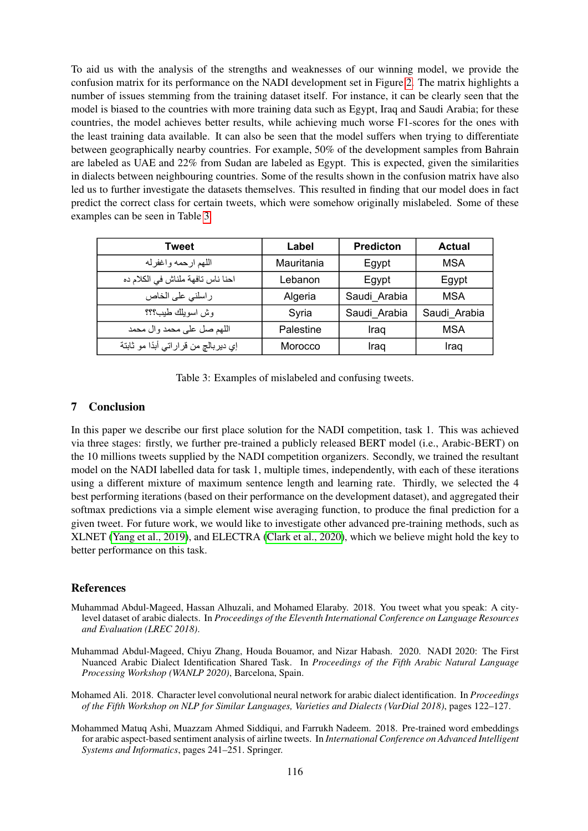To aid us with the analysis of the strengths and weaknesses of our winning model, we provide the confusion matrix for its performance on the NADI development set in Figure [2.](#page-4-1) The matrix highlights a number of issues stemming from the training dataset itself. For instance, it can be clearly seen that the model is biased to the countries with more training data such as Egypt, Iraq and Saudi Arabia; for these countries, the model achieves better results, while achieving much worse F1-scores for the ones with the least training data available. It can also be seen that the model suffers when trying to differentiate between geographically nearby countries. For example, 50% of the development samples from Bahrain are labeled as UAE and 22% from Sudan are labeled as Egypt. This is expected, given the similarities in dialects between neighbouring countries. Some of the results shown in the confusion matrix have also led us to further investigate the datasets themselves. This resulted in finding that our model does in fact predict the correct class for certain tweets, which were somehow originally mislabeled. Some of these examples can be seen in Table [3.](#page-5-5)

| <b>Tweet</b>                         | Label      | <b>Predicton</b> | Actual       |
|--------------------------------------|------------|------------------|--------------|
| اللهم ارحمه واغفرله                  | Mauritania | Egypt            | MSA          |
| احنا ناس تافهة ملناش في الكلام ده    | Lebanon    | Egypt            | Egypt        |
| راسلني على الخاص                     | Algeria    | Saudi Arabia     | <b>MSA</b>   |
| وش اسويلك طيب؟؟؟                     | Syria      | Saudi Arabia     | Saudi Arabia |
| اللهم صل على محمد وال محمد           | Palestine  | Iraq             | <b>MSA</b>   |
| إي ديربالج من قراراتي أبدًا مو ثابتة | Morocco    | Iraq             | Iraq         |

<span id="page-5-5"></span>Table 3: Examples of mislabeled and confusing tweets.

# <span id="page-5-1"></span>7 Conclusion

In this paper we describe our first place solution for the NADI competition, task 1. This was achieved via three stages: firstly, we further pre-trained a publicly released BERT model (i.e., Arabic-BERT) on the 10 millions tweets supplied by the NADI competition organizers. Secondly, we trained the resultant model on the NADI labelled data for task 1, multiple times, independently, with each of these iterations using a different mixture of maximum sentence length and learning rate. Thirdly, we selected the 4 best performing iterations (based on their performance on the development dataset), and aggregated their softmax predictions via a simple element wise averaging function, to produce the final prediction for a given tweet. For future work, we would like to investigate other advanced pre-training methods, such as XLNET [\(Yang et al., 2019\)](#page-7-5), and ELECTRA [\(Clark et al., 2020\)](#page-6-18), which we believe might hold the key to better performance on this task.

# References

- <span id="page-5-2"></span>Muhammad Abdul-Mageed, Hassan Alhuzali, and Mohamed Elaraby. 2018. You tweet what you speak: A citylevel dataset of arabic dialects. In *Proceedings of the Eleventh International Conference on Language Resources and Evaluation (LREC 2018)*.
- <span id="page-5-0"></span>Muhammad Abdul-Mageed, Chiyu Zhang, Houda Bouamor, and Nizar Habash. 2020. NADI 2020: The First Nuanced Arabic Dialect Identification Shared Task. In *Proceedings of the Fifth Arabic Natural Language Processing Workshop (WANLP 2020)*, Barcelona, Spain.
- <span id="page-5-3"></span>Mohamed Ali. 2018. Character level convolutional neural network for arabic dialect identification. In *Proceedings of the Fifth Workshop on NLP for Similar Languages, Varieties and Dialects (VarDial 2018)*, pages 122–127.
- <span id="page-5-4"></span>Mohammed Matuq Ashi, Muazzam Ahmed Siddiqui, and Farrukh Nadeem. 2018. Pre-trained word embeddings for arabic aspect-based sentiment analysis of airline tweets. In *International Conference on Advanced Intelligent Systems and Informatics*, pages 241–251. Springer.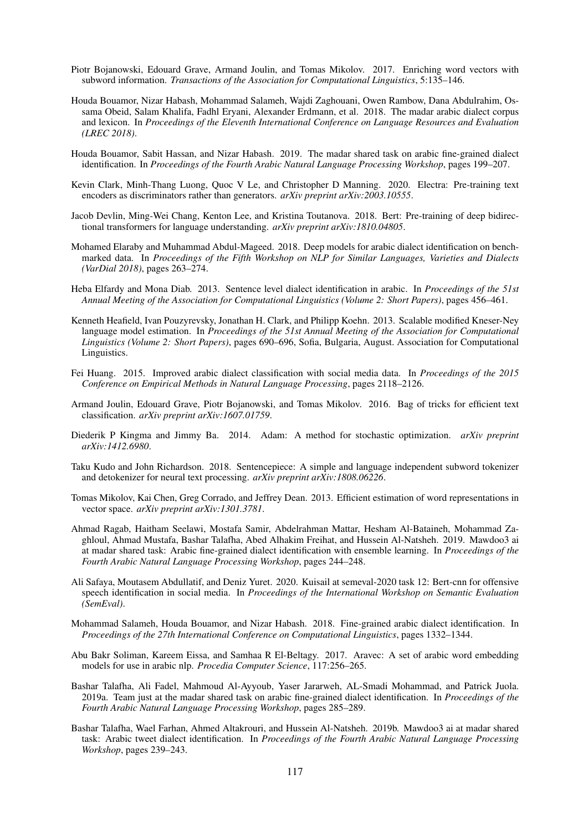- <span id="page-6-8"></span>Piotr Bojanowski, Edouard Grave, Armand Joulin, and Tomas Mikolov. 2017. Enriching word vectors with subword information. *Transactions of the Association for Computational Linguistics*, 5:135–146.
- <span id="page-6-0"></span>Houda Bouamor, Nizar Habash, Mohammad Salameh, Wajdi Zaghouani, Owen Rambow, Dana Abdulrahim, Ossama Obeid, Salam Khalifa, Fadhl Eryani, Alexander Erdmann, et al. 2018. The madar arabic dialect corpus and lexicon. In *Proceedings of the Eleventh International Conference on Language Resources and Evaluation (LREC 2018)*.
- <span id="page-6-1"></span>Houda Bouamor, Sabit Hassan, and Nizar Habash. 2019. The madar shared task on arabic fine-grained dialect identification. In *Proceedings of the Fourth Arabic Natural Language Processing Workshop*, pages 199–207.
- <span id="page-6-18"></span>Kevin Clark, Minh-Thang Luong, Quoc V Le, and Christopher D Manning. 2020. Electra: Pre-training text encoders as discriminators rather than generators. *arXiv preprint arXiv:2003.10555*.
- <span id="page-6-9"></span>Jacob Devlin, Ming-Wei Chang, Kenton Lee, and Kristina Toutanova. 2018. Bert: Pre-training of deep bidirectional transformers for language understanding. *arXiv preprint arXiv:1810.04805*.
- <span id="page-6-6"></span>Mohamed Elaraby and Muhammad Abdul-Mageed. 2018. Deep models for arabic dialect identification on benchmarked data. In *Proceedings of the Fifth Workshop on NLP for Similar Languages, Varieties and Dialects (VarDial 2018)*, pages 263–274.
- <span id="page-6-3"></span>Heba Elfardy and Mona Diab. 2013. Sentence level dialect identification in arabic. In *Proceedings of the 51st Annual Meeting of the Association for Computational Linguistics (Volume 2: Short Papers)*, pages 456–461.
- <span id="page-6-14"></span>Kenneth Heafield, Ivan Pouzyrevsky, Jonathan H. Clark, and Philipp Koehn. 2013. Scalable modified Kneser-Ney language model estimation. In *Proceedings of the 51st Annual Meeting of the Association for Computational Linguistics (Volume 2: Short Papers)*, pages 690–696, Sofia, Bulgaria, August. Association for Computational Linguistics.
- <span id="page-6-4"></span>Fei Huang. 2015. Improved arabic dialect classification with social media data. In *Proceedings of the 2015 Conference on Empirical Methods in Natural Language Processing*, pages 2118–2126.
- <span id="page-6-16"></span>Armand Joulin, Edouard Grave, Piotr Bojanowski, and Tomas Mikolov. 2016. Bag of tricks for efficient text classification. *arXiv preprint arXiv:1607.01759*.
- <span id="page-6-11"></span>Diederik P Kingma and Jimmy Ba. 2014. Adam: A method for stochastic optimization. *arXiv preprint arXiv:1412.6980*.
- <span id="page-6-12"></span>Taku Kudo and John Richardson. 2018. Sentencepiece: A simple and language independent subword tokenizer and detokenizer for neural text processing. *arXiv preprint arXiv:1808.06226*.
- <span id="page-6-7"></span>Tomas Mikolov, Kai Chen, Greg Corrado, and Jeffrey Dean. 2013. Efficient estimation of word representations in vector space. *arXiv preprint arXiv:1301.3781*.
- <span id="page-6-13"></span>Ahmad Ragab, Haitham Seelawi, Mostafa Samir, Abdelrahman Mattar, Hesham Al-Bataineh, Mohammad Zaghloul, Ahmad Mustafa, Bashar Talafha, Abed Alhakim Freihat, and Hussein Al-Natsheh. 2019. Mawdoo3 ai at madar shared task: Arabic fine-grained dialect identification with ensemble learning. In *Proceedings of the Fourth Arabic Natural Language Processing Workshop*, pages 244–248.
- <span id="page-6-10"></span>Ali Safaya, Moutasem Abdullatif, and Deniz Yuret. 2020. Kuisail at semeval-2020 task 12: Bert-cnn for offensive speech identification in social media. In *Proceedings of the International Workshop on Semantic Evaluation (SemEval)*.
- <span id="page-6-2"></span>Mohammad Salameh, Houda Bouamor, and Nizar Habash. 2018. Fine-grained arabic dialect identification. In *Proceedings of the 27th International Conference on Computational Linguistics*, pages 1332–1344.
- <span id="page-6-17"></span>Abu Bakr Soliman, Kareem Eissa, and Samhaa R El-Beltagy. 2017. Aravec: A set of arabic word embedding models for use in arabic nlp. *Procedia Computer Science*, 117:256–265.
- <span id="page-6-15"></span>Bashar Talafha, Ali Fadel, Mahmoud Al-Ayyoub, Yaser Jararweh, AL-Smadi Mohammad, and Patrick Juola. 2019a. Team just at the madar shared task on arabic fine-grained dialect identification. In *Proceedings of the Fourth Arabic Natural Language Processing Workshop*, pages 285–289.
- <span id="page-6-5"></span>Bashar Talafha, Wael Farhan, Ahmed Altakrouri, and Hussein Al-Natsheh. 2019b. Mawdoo3 ai at madar shared task: Arabic tweet dialect identification. In *Proceedings of the Fourth Arabic Natural Language Processing Workshop*, pages 239–243.